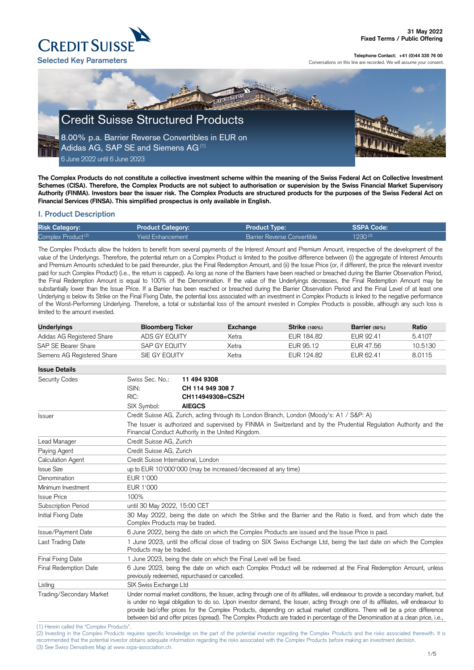(2) Investing in the Complex Products requires specific knowledge on the part of the potential investor regarding the Complex Products and the risks associated therewith. It is recommended that the potential investor obtains adequate information regarding the risks associated with the Complex Products before making an investment decision. (3) See Swiss Derivatives Map at www.sspa-association.ch.



**Telephone Contact: +41 (0)44 335 76 00**

Conversations on this line are recorded. We will assume your consent.

**The Complex Products do not constitute a collective investment scheme within the meaning of the Swiss Federal Act on Collective Investment Schemes (CISA). Therefore, the Complex Products are not subject to authorisation or supervision by the Swiss Financial Market Supervisory Authority (FINMA). Investors bear the issuer risk. The Complex Products are structured products for the purposes of the Swiss Federal Act on Financial Services (FINSA). This simplified prospectus is only available in English.**

## **I. Product Description**

| <b>Risk Category:</b>          | <b>Product Category:</b> | Product Type: \                    | <b>SSPA Code:</b> |
|--------------------------------|--------------------------|------------------------------------|-------------------|
| Complex Product <sup>(2)</sup> | <b>Yield Enhancement</b> | <b>Barrier Reverse Convertible</b> | $1230^{(3)}$      |

The Complex Products allow the holders to benefit from several payments of the Interest Amount and Premium Amount, irrespective of the development of the value of the Underlyings. Therefore, the potential return on a Complex Product is limited to the positive difference between (i) the aggregate of Interest Amounts and Premium Amounts scheduled to be paid thereunder, plus the Final Redemption Amount, and (ii) the Issue Price (or, if different, the price the relevant investor paid for such Complex Product) (i.e., the return is capped). As long as none of the Barriers have been reached or breached during the Barrier Observation Period, the Final Redemption Amount is equal to 100% of the Denomination. If the value of the Underlyings decreases, the Final Redemption Amount may be substantially lower than the Issue Price. If a Barrier has been reached or breached during the Barrier Observation Period and the Final Level of at least one Underlying is below its Strike on the Final Fixing Date, the potential loss associated with an investment in Complex Products is linked to the negative performance of the Worst-Performing Underlying. Therefore, a total or substantial loss of the amount invested in Complex Products is possible, although any such loss is limited to the amount invested.

| <b>Underlyings</b>                        | <b>Bloomberg Ticker</b>                                                                                                                                                                                                                                                                                                                                                                                                                                                                                                                   |                                                               | <b>Exchange</b>                                                                                                    | <b>Strike (100%)</b> | Barrier (50%) | Ratio   |
|-------------------------------------------|-------------------------------------------------------------------------------------------------------------------------------------------------------------------------------------------------------------------------------------------------------------------------------------------------------------------------------------------------------------------------------------------------------------------------------------------------------------------------------------------------------------------------------------------|---------------------------------------------------------------|--------------------------------------------------------------------------------------------------------------------|----------------------|---------------|---------|
| Adidas AG Registered Share                | ADS GY EQUITY                                                                                                                                                                                                                                                                                                                                                                                                                                                                                                                             |                                                               | Xetra                                                                                                              | EUR 184.82           | EUR 92.41     | 5.4107  |
| SAP SE Bearer Share                       | SAP GY EQUITY                                                                                                                                                                                                                                                                                                                                                                                                                                                                                                                             |                                                               | Xetra                                                                                                              | EUR 95.12            | EUR 47.56     | 10.5130 |
| Siemens AG Registered Share               | SIE GY EQUITY                                                                                                                                                                                                                                                                                                                                                                                                                                                                                                                             |                                                               | Xetra                                                                                                              | EUR 124.82           | EUR 62.41     | 8.0115  |
| <b>Issue Details</b>                      |                                                                                                                                                                                                                                                                                                                                                                                                                                                                                                                                           |                                                               |                                                                                                                    |                      |               |         |
| <b>Security Codes</b>                     | Swiss Sec. No.:                                                                                                                                                                                                                                                                                                                                                                                                                                                                                                                           | 11 494 9308                                                   |                                                                                                                    |                      |               |         |
|                                           | ISIN:                                                                                                                                                                                                                                                                                                                                                                                                                                                                                                                                     | CH 114 949 308 7                                              |                                                                                                                    |                      |               |         |
|                                           | RIC:                                                                                                                                                                                                                                                                                                                                                                                                                                                                                                                                      | CH114949308=CSZH                                              |                                                                                                                    |                      |               |         |
|                                           | SIX Symbol:                                                                                                                                                                                                                                                                                                                                                                                                                                                                                                                               | <b>AIEGCS</b>                                                 |                                                                                                                    |                      |               |         |
| <b>Issuer</b>                             | Credit Suisse AG, Zurich, acting through its London Branch, London (Moody's: A1 / S&P: A)                                                                                                                                                                                                                                                                                                                                                                                                                                                 |                                                               |                                                                                                                    |                      |               |         |
|                                           | Financial Conduct Authority in the United Kingdom.                                                                                                                                                                                                                                                                                                                                                                                                                                                                                        |                                                               | The Issuer is authorized and supervised by FINMA in Switzerland and by the Prudential Regulation Authority and the |                      |               |         |
| Lead Manager                              | Credit Suisse AG, Zurich                                                                                                                                                                                                                                                                                                                                                                                                                                                                                                                  |                                                               |                                                                                                                    |                      |               |         |
| Paying Agent                              | Credit Suisse AG, Zurich                                                                                                                                                                                                                                                                                                                                                                                                                                                                                                                  |                                                               |                                                                                                                    |                      |               |         |
| Calculation Agent                         |                                                                                                                                                                                                                                                                                                                                                                                                                                                                                                                                           | Credit Suisse International, London                           |                                                                                                                    |                      |               |         |
| <b>Issue Size</b>                         |                                                                                                                                                                                                                                                                                                                                                                                                                                                                                                                                           | up to EUR 10'000'000 (may be increased/decreased at any time) |                                                                                                                    |                      |               |         |
| Denomination                              | EUR 1'000                                                                                                                                                                                                                                                                                                                                                                                                                                                                                                                                 |                                                               |                                                                                                                    |                      |               |         |
| Minimum Investment                        | EUR 1'000                                                                                                                                                                                                                                                                                                                                                                                                                                                                                                                                 |                                                               |                                                                                                                    |                      |               |         |
| <b>Issue Price</b>                        | 100%                                                                                                                                                                                                                                                                                                                                                                                                                                                                                                                                      |                                                               |                                                                                                                    |                      |               |         |
| Subscription Period                       | until 30 May 2022, 15:00 CET                                                                                                                                                                                                                                                                                                                                                                                                                                                                                                              |                                                               |                                                                                                                    |                      |               |         |
| Initial Fixing Date                       | 30 May 2022, being the date on which the Strike and the Barrier and the Ratio is fixed, and from which date the<br>Complex Products may be traded.                                                                                                                                                                                                                                                                                                                                                                                        |                                                               |                                                                                                                    |                      |               |         |
| Issue/Payment Date                        | 6 June 2022, being the date on which the Complex Products are issued and the Issue Price is paid.                                                                                                                                                                                                                                                                                                                                                                                                                                         |                                                               |                                                                                                                    |                      |               |         |
| Last Trading Date                         | 1 June 2023, until the official close of trading on SIX Swiss Exchange Ltd, being the last date on which the Complex<br>Products may be traded.                                                                                                                                                                                                                                                                                                                                                                                           |                                                               |                                                                                                                    |                      |               |         |
| <b>Final Fixing Date</b>                  | 1 June 2023, being the date on which the Final Level will be fixed.                                                                                                                                                                                                                                                                                                                                                                                                                                                                       |                                                               |                                                                                                                    |                      |               |         |
| <b>Final Redemption Date</b>              | 6 June 2023, being the date on which each Complex Product will be redeemed at the Final Redemption Amount, unless<br>previously redeemed, repurchased or cancelled.                                                                                                                                                                                                                                                                                                                                                                       |                                                               |                                                                                                                    |                      |               |         |
| Listing                                   | SIX Swiss Exchange Ltd                                                                                                                                                                                                                                                                                                                                                                                                                                                                                                                    |                                                               |                                                                                                                    |                      |               |         |
| Trading/Secondary Market                  | Under normal market conditions, the Issuer, acting through one of its affiliates, will endeavour to provide a secondary market, but<br>is under no legal obligation to do so. Upon investor demand, the Issuer, acting through one of its affiliates, will endeavour to<br>provide bid/offer prices for the Complex Products, depending on actual market conditions. There will be a price difference<br>between bid and offer prices (spread). The Complex Products are traded in percentage of the Denomination at a clean price, i.e., |                                                               |                                                                                                                    |                      |               |         |
| (1) Herein called the "Complex Products". |                                                                                                                                                                                                                                                                                                                                                                                                                                                                                                                                           |                                                               |                                                                                                                    |                      |               |         |

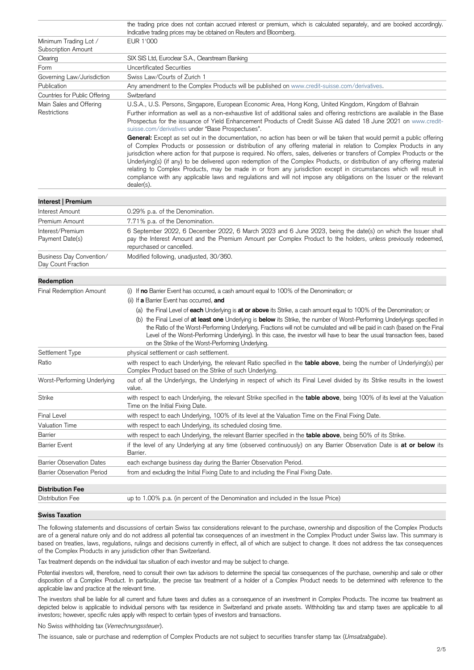|                                                     | the trading price does not contain accrued interest or premium, which is calculated separately, and are booked accordingly.<br>Indicative trading prices may be obtained on Reuters and Bloomberg.                                                                                                                                                                                                                                                                                                                                                                                                                                                                                                                                                                     |
|-----------------------------------------------------|------------------------------------------------------------------------------------------------------------------------------------------------------------------------------------------------------------------------------------------------------------------------------------------------------------------------------------------------------------------------------------------------------------------------------------------------------------------------------------------------------------------------------------------------------------------------------------------------------------------------------------------------------------------------------------------------------------------------------------------------------------------------|
| Minimum Trading Lot /<br><b>Subscription Amount</b> | EUR 1'000                                                                                                                                                                                                                                                                                                                                                                                                                                                                                                                                                                                                                                                                                                                                                              |
| Clearing                                            | SIX SIS Ltd, Euroclear S.A., Clearstream Banking                                                                                                                                                                                                                                                                                                                                                                                                                                                                                                                                                                                                                                                                                                                       |
| Form                                                | <b>Uncertificated Securities</b>                                                                                                                                                                                                                                                                                                                                                                                                                                                                                                                                                                                                                                                                                                                                       |
| Governing Law/Jurisdiction                          | Swiss Law/Courts of Zurich 1                                                                                                                                                                                                                                                                                                                                                                                                                                                                                                                                                                                                                                                                                                                                           |
| Publication                                         | Any amendment to the Complex Products will be published on www.credit-suisse.com/derivatives.                                                                                                                                                                                                                                                                                                                                                                                                                                                                                                                                                                                                                                                                          |
| Countries for Public Offering                       | Switzerland                                                                                                                                                                                                                                                                                                                                                                                                                                                                                                                                                                                                                                                                                                                                                            |
| Main Sales and Offering<br>Restrictions             | U.S.A., U.S. Persons, Singapore, European Economic Area, Hong Kong, United Kingdom, Kingdom of Bahrain<br>Further information as well as a non-exhaustive list of additional sales and offering restrictions are available in the Base<br>Prospectus for the issuance of Yield Enhancement Products of Credit Suisse AG dated 18 June 2021 on www.credit-<br>suisse.com/derivatives under "Base Prospectuses".                                                                                                                                                                                                                                                                                                                                                         |
|                                                     | General: Except as set out in the documentation, no action has been or will be taken that would permit a public offering<br>of Complex Products or possession or distribution of any offering material in relation to Complex Products in any<br>jurisdiction where action for that purpose is required. No offers, sales, deliveries or transfers of Complex Products or the<br>Underlying(s) (if any) to be delivered upon redemption of the Complex Products, or distribution of any offering material<br>relating to Complex Products, may be made in or from any jurisdiction except in circumstances which will result in<br>compliance with any applicable laws and regulations and will not impose any obligations on the Issuer or the relevant<br>dealer(s). |
| Interest   Premium                                  |                                                                                                                                                                                                                                                                                                                                                                                                                                                                                                                                                                                                                                                                                                                                                                        |
| Interest Amount                                     | 0.29% p.a. of the Denomination.                                                                                                                                                                                                                                                                                                                                                                                                                                                                                                                                                                                                                                                                                                                                        |
| Premium Amount                                      | 7.71% p.a. of the Denomination.                                                                                                                                                                                                                                                                                                                                                                                                                                                                                                                                                                                                                                                                                                                                        |
| Interest/Premium<br>Payment Date(s)                 | 6 September 2022, 6 December 2022, 6 March 2023 and 6 June 2023, being the date(s) on which the Issuer shall<br>pay the Interest Amount and the Premium Amount per Complex Product to the holders, unless previously redeemed,<br>repurchased or cancelled.                                                                                                                                                                                                                                                                                                                                                                                                                                                                                                            |
| Business Day Convention/<br>Day Count Fraction      | Modified following, unadjusted, 30/360.                                                                                                                                                                                                                                                                                                                                                                                                                                                                                                                                                                                                                                                                                                                                |
| Redemption                                          |                                                                                                                                                                                                                                                                                                                                                                                                                                                                                                                                                                                                                                                                                                                                                                        |
| <b>Final Redemption Amount</b>                      | (i) If no Barrier Event has occurred, a cash amount equal to 100% of the Denomination; or                                                                                                                                                                                                                                                                                                                                                                                                                                                                                                                                                                                                                                                                              |
|                                                     | (ii) If a Barrier Event has occurred, and                                                                                                                                                                                                                                                                                                                                                                                                                                                                                                                                                                                                                                                                                                                              |
|                                                     | (a) the Final Level of each Underlying is at or above its Strike, a cash amount equal to 100% of the Denomination; or                                                                                                                                                                                                                                                                                                                                                                                                                                                                                                                                                                                                                                                  |
|                                                     | (b) the Final Level of at least one Underlying is below its Strike, the number of Worst-Performing Underlyings specified in<br>the Ratio of the Worst-Performing Underlying. Fractions will not be cumulated and will be paid in cash (based on the Final<br>Level of the Worst-Performing Underlying). In this case, the investor will have to bear the usual transaction fees, based<br>on the Strike of the Worst-Performing Underlying.                                                                                                                                                                                                                                                                                                                            |
| Settlement Type                                     | physical settlement or cash settlement.                                                                                                                                                                                                                                                                                                                                                                                                                                                                                                                                                                                                                                                                                                                                |
| Ratio                                               | with respect to each Underlying, the relevant Ratio specified in the table above, being the number of Underlying(s) per<br>Complex Product based on the Strike of such Underlying.                                                                                                                                                                                                                                                                                                                                                                                                                                                                                                                                                                                     |
| Worst-Performing Underlying                         | out of all the Underlyings, the Underlying in respect of which its Final Level divided by its Strike results in the lowest<br>value.                                                                                                                                                                                                                                                                                                                                                                                                                                                                                                                                                                                                                                   |
| <b>Strike</b>                                       | with respect to each Underlying, the relevant Strike specified in the table above, being 100% of its level at the Valuation<br>Time on the Initial Fixing Date.                                                                                                                                                                                                                                                                                                                                                                                                                                                                                                                                                                                                        |
| <b>Final Level</b>                                  | with respect to each Underlying, 100% of its level at the Valuation Time on the Final Fixing Date.                                                                                                                                                                                                                                                                                                                                                                                                                                                                                                                                                                                                                                                                     |
| <b>Valuation Time</b>                               | with respect to each Underlying, its scheduled closing time.                                                                                                                                                                                                                                                                                                                                                                                                                                                                                                                                                                                                                                                                                                           |
| Barrier                                             | with respect to each Underlying, the relevant Barrier specified in the table above, being 50% of its Strike.                                                                                                                                                                                                                                                                                                                                                                                                                                                                                                                                                                                                                                                           |
| <b>Barrier Event</b>                                | if the level of any Underlying at any time (observed continuously) on any Barrier Observation Date is at or below its<br>Barrier.                                                                                                                                                                                                                                                                                                                                                                                                                                                                                                                                                                                                                                      |
| <b>Barrier Observation Dates</b>                    | each exchange business day during the Barrier Observation Period.                                                                                                                                                                                                                                                                                                                                                                                                                                                                                                                                                                                                                                                                                                      |
| <b>Barrier Observation Period</b>                   | from and excluding the Initial Fixing Date to and including the Final Fixing Date.                                                                                                                                                                                                                                                                                                                                                                                                                                                                                                                                                                                                                                                                                     |
| <b>Distribution Fee</b>                             |                                                                                                                                                                                                                                                                                                                                                                                                                                                                                                                                                                                                                                                                                                                                                                        |

#### **Swiss Taxation**

The following statements and discussions of certain Swiss tax considerations relevant to the purchase, ownership and disposition of the Complex Products are of a general nature only and do not address all potential tax consequences of an investment in the Complex Product under Swiss law. This summary is based on treaties, laws, regulations, rulings and decisions currently in effect, all of which are subject to change. It does not address the tax consequences of the Complex Products in any jurisdiction other than Switzerland.

Tax treatment depends on the individual tax situation of each investor and may be subject to change.

Distribution Fee The Up to 1.00% p.a. (in percent of the Denomination and included in the Issue Price)

Potential investors will, therefore, need to consult their own tax advisors to determine the special tax consequences of the purchase, ownership and sale or other disposition of a Complex Product. In particular, the precise tax treatment of a holder of a Complex Product needs to be determined with reference to the applicable law and practice at the relevant time.

The investors shall be liable for all current and future taxes and duties as a consequence of an investment in Complex Products. The income tax treatment as depicted below is applicable to individual persons with tax residence in Switzerland and private assets. Withholding tax and stamp taxes are applicable to all investors; however, specific rules apply with respect to certain types of investors and transactions.

No Swiss withholding tax (*Verrechnungssteuer*).

The issuance, sale or purchase and redemption of Complex Products are not subject to securities transfer stamp tax (*Umsatzabgabe*).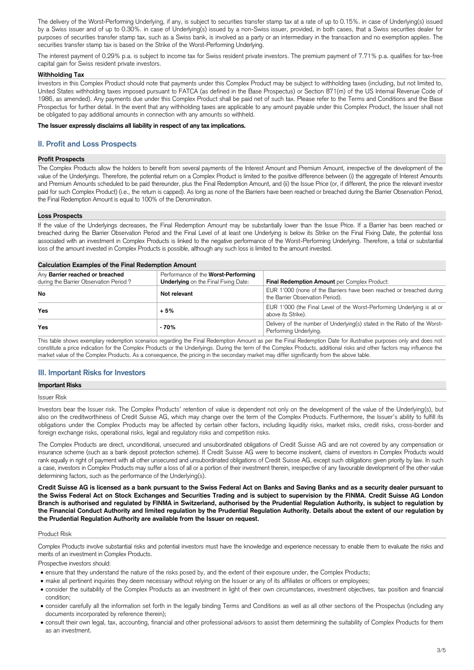The delivery of the Worst-Performing Underlying, if any, is subject to securities transfer stamp tax at a rate of up to 0.15%. in case of Underlying(s) issued by a Swiss issuer and of up to 0.30%. in case of Underlying(s) issued by a non-Swiss issuer, provided, in both cases, that a Swiss securities dealer for purposes of securities transfer stamp tax, such as a Swiss bank, is involved as a party or an intermediary in the transaction and no exemption applies. The securities transfer stamp tax is based on the Strike of the Worst-Performing Underlying.

The interest payment of 0.29% p.a. is subject to income tax for Swiss resident private investors. The premium payment of 7.71% p.a. qualifies for tax-free capital gain for Swiss resident private investors.

## **Withholding Tax**

Investors in this Complex Product should note that payments under this Complex Product may be subject to withholding taxes (including, but not limited to, United States withholding taxes imposed pursuant to FATCA (as defined in the Base Prospectus) or Section 871(m) of the US Internal Revenue Code of 1986, as amended). Any payments due under this Complex Product shall be paid net of such tax. Please refer to the Terms and Conditions and the Base Prospectus for further detail. In the event that any withholding taxes are applicable to any amount payable under this Complex Product, the Issuer shall not be obligated to pay additional amounts in connection with any amounts so withheld.

## **The Issuer expressly disclaims all liability in respect of any tax implications.**

# **II. Profit and Loss Prospects**

## **Profit Prospects**

The Complex Products allow the holders to benefit from several payments of the Interest Amount and Premium Amount, irrespective of the development of the value of the Underlyings. Therefore, the potential return on a Complex Product is limited to the positive difference between (i) the aggregate of Interest Amounts and Premium Amounts scheduled to be paid thereunder, plus the Final Redemption Amount, and (ii) the Issue Price (or, if different, the price the relevant investor paid for such Complex Product) (i.e., the return is capped). As long as none of the Barriers have been reached or breached during the Barrier Observation Period, the Final Redemption Amount is equal to 100% of the Denomination.

## **Loss Prospects**

If the value of the Underlyings decreases, the Final Redemption Amount may be substantially lower than the Issue Price. If a Barrier has been reached or breached during the Barrier Observation Period and the Final Level of at least one Underlying is below its Strike on the Final Fixing Date, the potential loss associated with an investment in Complex Products is linked to the negative performance of the Worst-Performing Underlying. Therefore, a total or substantial loss of the amount invested in Complex Products is possible, although any such loss is limited to the amount invested.

## **Calculation Examples of the Final Redemption Amount**

| <u>saisaisisti Examples of the Final Reagniption Fundant</u>              |                                                                                    |                                                                                                          |  |  |  |  |
|---------------------------------------------------------------------------|------------------------------------------------------------------------------------|----------------------------------------------------------------------------------------------------------|--|--|--|--|
| Any Barrier reached or breached<br>during the Barrier Observation Period? | Performance of the Worst-Performing<br><b>Underlying</b> on the Final Fixing Date: | Final Redemption Amount per Complex Product:                                                             |  |  |  |  |
| No                                                                        | Not relevant                                                                       | EUR 1'000 (none of the Barriers have been reached or breached during<br>the Barrier Observation Period). |  |  |  |  |
| Yes                                                                       | $+5%$                                                                              | EUR 1'000 (the Final Level of the Worst-Performing Underlying is at or<br>above its Strike).             |  |  |  |  |
| <b>Yes</b>                                                                | $-70%$                                                                             | Delivery of the number of Underlying(s) stated in the Ratio of the Worst-<br>Performing Underlying.      |  |  |  |  |

This table shows exemplary redemption scenarios regarding the Final Redemption Amount as per the Final Redemption Date for illustrative purposes only and does not constitute a price indication for the Complex Products or the Underlyings. During the term of the Complex Products, additional risks and other factors may influence the market value of the Complex Products. As a consequence, the pricing in the secondary market may differ significantly from the above table.

# **III. Important Risks for Investors**

## **Important Risks**

Issuer Risk

Investors bear the Issuer risk. The Complex Products' retention of value is dependent not only on the development of the value of the Underlying(s), but also on the creditworthiness of Credit Suisse AG, which may change over the term of the Complex Products. Furthermore, the Issuer's ability to fulfill its obligations under the Complex Products may be affected by certain other factors, including liquidity risks, market risks, credit risks, cross-border and foreign exchange risks, operational risks, legal and regulatory risks and competition risks.

The Complex Products are direct, unconditional, unsecured and unsubordinated obligations of Credit Suisse AG and are not covered by any compensation or insurance scheme (such as a bank deposit protection scheme). If Credit Suisse AG were to become insolvent, claims of investors in Complex Products would rank equally in right of payment with all other unsecured and unsubordinated obligations of Credit Suisse AG, except such obligations given priority by law. In such a case, investors in Complex Products may suffer a loss of all or a portion of their investment therein, irrespective of any favourable development of the other value determining factors, such as the performance of the Underlying(s).

**Credit Suisse AG is licensed as a bank pursuant to the Swiss Federal Act on Banks and Saving Banks and as a security dealer pursuant to the Swiss Federal Act on Stock Exchanges and Securities Trading and is subject to supervision by the FINMA. Credit Suisse AG London Branch is authorised and regulated by FINMA in Switzerland, authorised by the Prudential Regulation Authority, is subject to regulation by the Financial Conduct Authority and limited regulation by the Prudential Regulation Authority. Details about the extent of our regulation by the Prudential Regulation Authority are available from the Issuer on request.**

Product Risk

Complex Products involve substantial risks and potential investors must have the knowledge and experience necessary to enable them to evaluate the risks and merits of an investment in Complex Products.

Prospective investors should:

- ensure that they understand the nature of the risks posed by, and the extent of their exposure under, the Complex Products;
- make all pertinent inquiries they deem necessary without relying on the Issuer or any of its affiliates or officers or employees;
- consider the suitability of the Complex Products as an investment in light of their own circumstances, investment objectives, tax position and financial condition;
- consider carefully all the information set forth in the legally binding Terms and Conditions as well as all other sections of the Prospectus (including any documents incorporated by reference therein);
- consult their own legal, tax, accounting, financial and other professional advisors to assist them determining the suitability of Complex Products for them as an investment.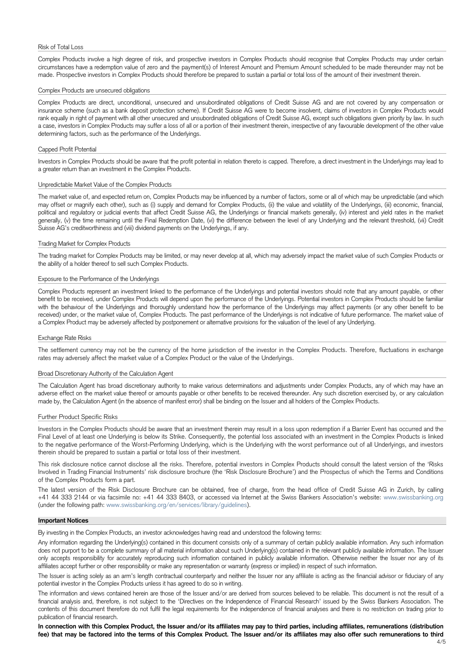#### Risk of Total Loss

Complex Products involve a high degree of risk, and prospective investors in Complex Products should recognise that Complex Products may under certain circumstances have a redemption value of zero and the payment(s) of Interest Amount and Premium Amount scheduled to be made thereunder may not be made. Prospective investors in Complex Products should therefore be prepared to sustain a partial or total loss of the amount of their investment therein.

#### Complex Products are unsecured obligations

Complex Products are direct, unconditional, unsecured and unsubordinated obligations of Credit Suisse AG and are not covered by any compensation or insurance scheme (such as a bank deposit protection scheme). If Credit Suisse AG were to become insolvent, claims of investors in Complex Products would rank equally in right of payment with all other unsecured and unsubordinated obligations of Credit Suisse AG, except such obligations given priority by law. In such a case, investors in Complex Products may suffer a loss of all or a portion of their investment therein, irrespective of any favourable development of the other value determining factors, such as the performance of the Underlyings.

## Capped Profit Potential

Investors in Complex Products should be aware that the profit potential in relation thereto is capped. Therefore, a direct investment in the Underlyings may lead to a greater return than an investment in the Complex Products.

#### Unpredictable Market Value of the Complex Products

The market value of, and expected return on, Complex Products may be influenced by a number of factors, some or all of which may be unpredictable (and which may offset or magnify each other), such as (i) supply and demand for Complex Products, (ii) the value and volatility of the Underlyings, (iii) economic, financial, political and regulatory or judicial events that affect Credit Suisse AG, the Underlyings or financial markets generally, (iv) interest and yield rates in the market generally, (v) the time remaining until the Final Redemption Date, (vi) the difference between the level of any Underlying and the relevant threshold, (vii) Credit Suisse AG's creditworthiness and (viii) dividend payments on the Underlyings, if any.

## Trading Market for Complex Products

The trading market for Complex Products may be limited, or may never develop at all, which may adversely impact the market value of such Complex Products or the ability of a holder thereof to sell such Complex Products.

#### Exposure to the Performance of the Underlyings

Complex Products represent an investment linked to the performance of the Underlyings and potential investors should note that any amount payable, or other benefit to be received, under Complex Products will depend upon the performance of the Underlyings. Potential investors in Complex Products should be familiar with the behaviour of the Underlyings and thoroughly understand how the performance of the Underlyings may affect payments (or any other benefit to be received) under, or the market value of, Complex Products. The past performance of the Underlyings is not indicative of future performance. The market value of a Complex Product may be adversely affected by postponement or alternative provisions for the valuation of the level of any Underlying.

Any information regarding the Underlying(s) contained in this document consists only of a summary of certain publicly available information. Any such information does not purport to be a complete summary of all material information about such Underlying(s) contained in the relevant publicly available information. The Issuer only accepts responsibility for accurately reproducing such information contained in publicly available information. Otherwise neither the Issuer nor any of its affiliates accept further or other responsibility or make any representation or warranty (express or implied) in respect of such information.

#### Exchange Rate Risks

The settlement currency may not be the currency of the home jurisdiction of the investor in the Complex Products. Therefore, fluctuations in exchange rates may adversely affect the market value of a Complex Product or the value of the Underlyings.

#### Broad Discretionary Authority of the Calculation Agent

The Calculation Agent has broad discretionary authority to make various determinations and adjustments under Complex Products, any of which may have an adverse effect on the market value thereof or amounts payable or other benefits to be received thereunder. Any such discretion exercised by, or any calculation made by, the Calculation Agent (in the absence of manifest error) shall be binding on the Issuer and all holders of the Complex Products.

#### Further Product Specific Risks

Investors in the Complex Products should be aware that an investment therein may result in a loss upon redemption if a Barrier Event has occurred and the Final Level of at least one Underlying is below its Strike. Consequently, the potential loss associated with an investment in the Complex Products is linked to the negative performance of the Worst-Performing Underlying, which is the Underlying with the worst performance out of all Underlyings, and investors therein should be prepared to sustain a partial or total loss of their investment.

This risk disclosure notice cannot disclose all the risks. Therefore, potential investors in Complex Products should consult the latest version of the 'Risks Involved in Trading Financial Instruments' risk disclosure brochure (the 'Risk Disclosure Brochure') and the Prospectus of which the Terms and Conditions of the Complex Products form a part.

The latest version of the Risk Disclosure Brochure can be obtained, free of charge, from the head office of Credit Suisse AG in Zurich, by calling +41 44 333 2144 or via facsimile no: +41 44 333 8403, or accessed via Internet at the Swiss Bankers Association's website: www.swissbanking.org (under the following path: [www.swissbanking.org/en/services/library/guidelines\)](http://www.swissbanking.org/en/services/library/guidelines).

#### **Important Notices**

By investing in the Complex Products, an investor acknowledges having read and understood the following terms:

The Issuer is acting solely as an arm's length contractual counterparty and neither the Issuer nor any affiliate is acting as the financial advisor or fiduciary of any potential investor in the Complex Products unless it has agreed to do so in writing.

The information and views contained herein are those of the Issuer and/or are derived from sources believed to be reliable. This document is not the result of a financial analysis and, therefore, is not subject to the 'Directives on the Independence of Financial Research' issued by the Swiss Bankers Association. The contents of this document therefore do not fulfil the legal requirements for the independence of financial analyses and there is no restriction on trading prior to publication of financial research.

**In connection with this Complex Product, the Issuer and/or its affiliates may pay to third parties, including affiliates, remunerations (distribution fee) that may be factored into the terms of this Complex Product. The Issuer and/or its affiliates may also offer such remunerations to third**